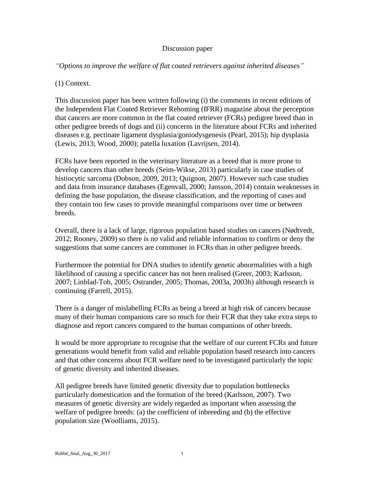### Discussion paper

*"Options to improve the welfare of flat coated retrievers against inherited diseases"*

(1) Context.

This discussion paper has been written following (i) the comments in recent editions of the Independent Flat Coated Retriever Rehoming (IFRR) magazine about the perception that cancers are more common in the flat coated retriever (FCRs) pedigree breed than in other pedigree breeds of dogs and (ii) concerns in the literature about FCRs and inherited diseases e.g. pectinate ligament dysplasia/goniodysgenesis (Pearl, 2015); hip dysplasia (Lewis, 2013; Wood, 2000); patella luxation (Lavrijsen, 2014).

FCRs have been reported in the veterinary literature as a breed that is more prone to develop cancers than other breeds (Seim-Wikse, 2013) particularly in case studies of histiocytic sarcoma (Dobson, 2009, 2013; Quignon, 2007). However such case studies and data from insurance databases (Egenvall, 2000; Jansson, 2014) contain weaknesses in defining the base population, the disease classification, and the reporting of cases and they contain too few cases to provide meaningful comparisons over time or between breeds.

Overall, there is a lack of large, rigorous population based studies on cancers (Nødtvedt, 2012; Rooney, 2009) so there is no valid and reliable information to confirm or deny the suggestions that some cancers are commoner in FCRs than in other pedigree breeds.

Furthermore the potential for DNA studies to identify genetic abnormalities with a high likelihood of causing a specific cancer has not been realised (Greer, 2003; Karlsson, 2007; Linblad-Toh, 2005; Ostrander, 2005; Thomas, 2003a, 2003b) although research is continuing (Farrell, 2015).

There is a danger of mislabelling FCRs as being a breed at high risk of cancers because many of their human companions care so much for their FCR that they take extra steps to diagnose and report cancers compared to the human companions of other breeds.

It would be more appropriate to recognise that the welfare of our current FCRs and future generations would benefit from valid and reliable population based research into cancers and that other concerns about FCR welfare need to be investigated particularly the topic of genetic diversity and inherited diseases.

All pedigree breeds have limited genetic diversity due to population bottlenecks particularly domestication and the formation of the breed (Karlsson, 2007). Two measures of genetic diversity are widely regarded as important when assessing the welfare of pedigree breeds: (a) the coefficient of inbreeding and (b) the effective population size (Woolliams, 2015).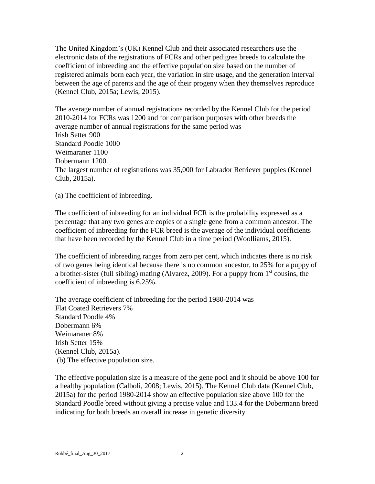The United Kingdom's (UK) Kennel Club and their associated researchers use the electronic data of the registrations of FCRs and other pedigree breeds to calculate the coefficient of inbreeding and the effective population size based on the number of registered animals born each year, the variation in sire usage, and the generation interval between the age of parents and the age of their progeny when they themselves reproduce (Kennel Club, 2015a; Lewis, 2015).

The average number of annual registrations recorded by the Kennel Club for the period 2010-2014 for FCRs was 1200 and for comparison purposes with other breeds the average number of annual registrations for the same period was – Irish Setter 900 Standard Poodle 1000 Weimaraner 1100 Dobermann 1200. The largest number of registrations was 35,000 for Labrador Retriever puppies (Kennel Club, 2015a).

(a) The coefficient of inbreeding.

The coefficient of inbreeding for an individual FCR is the probability expressed as a percentage that any two genes are copies of a single gene from a common ancestor. The coefficient of inbreeding for the FCR breed is the average of the individual coefficients that have been recorded by the Kennel Club in a time period (Woolliams, 2015).

The coefficient of inbreeding ranges from zero per cent, which indicates there is no risk of two genes being identical because there is no common ancestor, to 25% for a puppy of a brother-sister (full sibling) mating (Alvarez, 2009). For a puppy from  $1<sup>st</sup>$  cousins, the coefficient of inbreeding is 6.25%.

The average coefficient of inbreeding for the period 1980-2014 was – Flat Coated Retrievers 7% Standard Poodle 4% Dobermann 6% Weimaraner 8% Irish Setter 15% (Kennel Club, 2015a). (b) The effective population size.

The effective population size is a measure of the gene pool and it should be above 100 for a healthy population (Calboli, 2008; Lewis, 2015). The Kennel Club data (Kennel Club, 2015a) for the period 1980-2014 show an effective population size above 100 for the Standard Poodle breed without giving a precise value and 133.4 for the Dobermann breed indicating for both breeds an overall increase in genetic diversity.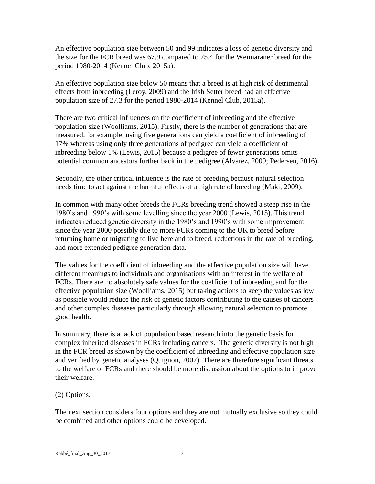An effective population size between 50 and 99 indicates a loss of genetic diversity and the size for the FCR breed was 67.9 compared to 75.4 for the Weimaraner breed for the period 1980-2014 (Kennel Club, 2015a).

An effective population size below 50 means that a breed is at high risk of detrimental effects from inbreeding (Leroy, 2009) and the Irish Setter breed had an effective population size of 27.3 for the period 1980-2014 (Kennel Club, 2015a).

There are two critical influences on the coefficient of inbreeding and the effective population size (Woolliams, 2015). Firstly, there is the number of generations that are measured, for example, using five generations can yield a coefficient of inbreeding of 17% whereas using only three generations of pedigree can yield a coefficient of inbreeding below 1% (Lewis, 2015) because a pedigree of fewer generations omits potential common ancestors further back in the pedigree (Alvarez, 2009; Pedersen, 2016).

Secondly, the other critical influence is the rate of breeding because natural selection needs time to act against the harmful effects of a high rate of breeding (Maki, 2009).

In common with many other breeds the FCRs breeding trend showed a steep rise in the 1980's and 1990's with some levelling since the year 2000 (Lewis, 2015). This trend indicates reduced genetic diversity in the 1980's and 1990's with some improvement since the year 2000 possibly due to more FCRs coming to the UK to breed before returning home or migrating to live here and to breed, reductions in the rate of breeding, and more extended pedigree generation data.

The values for the coefficient of inbreeding and the effective population size will have different meanings to individuals and organisations with an interest in the welfare of FCRs. There are no absolutely safe values for the coefficient of inbreeding and for the effective population size (Woolliams, 2015) but taking actions to keep the values as low as possible would reduce the risk of genetic factors contributing to the causes of cancers and other complex diseases particularly through allowing natural selection to promote good health.

In summary, there is a lack of population based research into the genetic basis for complex inherited diseases in FCRs including cancers. The genetic diversity is not high in the FCR breed as shown by the coefficient of inbreeding and effective population size and verified by genetic analyses (Quignon, 2007). There are therefore significant threats to the welfare of FCRs and there should be more discussion about the options to improve their welfare.

# (2) Options.

The next section considers four options and they are not mutually exclusive so they could be combined and other options could be developed.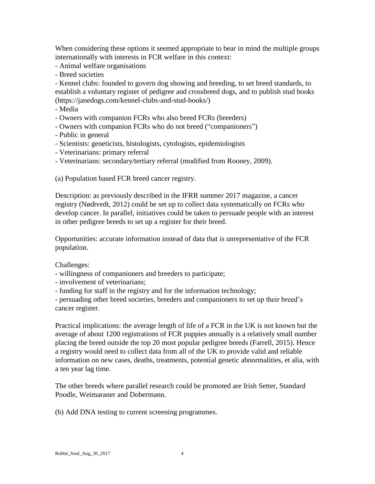When considering these options it seemed appropriate to bear in mind the multiple groups internationally with interests in FCR welfare in this context:

- Animal welfare organisations

- Breed societies

- Kennel clubs: founded to govern dog showing and breeding, to set breed standards, to establish a voluntary register of pedigree and crossbreed dogs, and to publish stud books (https://janedogs.com/kennel-clubs-and-stud-books/)

- Media

- Owners with companion FCRs who also breed FCRs (breeders)

- Owners with companion FCRs who do not breed ("companioners")
- Public in general
- Scientists: geneticists, histologists, cytologists, epidemiologists
- Veterinarians: primary referral
- Veterinarians: secondary/tertiary referral (modified from Rooney, 2009).

(a) Population based FCR breed cancer registry.

Description: as previously described in the IFRR summer 2017 magazine, a cancer registry (Nødtvedt, 2012) could be set up to collect data systematically on FCRs who develop cancer. In parallel, initiatives could be taken to persuade people with an interest in other pedigree breeds to set up a register for their breed.

Opportunities: accurate information instead of data that is unrepresentative of the FCR population.

Challenges:

- willingness of companioners and breeders to participate;
- involvement of veterinarians;
- funding for staff in the registry and for the information technology;

- persuading other breed societies, breeders and companioners to set up their breed's cancer register.

Practical implications: the average length of life of a FCR in the UK is not known but the average of about 1200 registrations of FCR puppies annually is a relatively small number placing the breed outside the top 20 most popular pedigree breeds (Farrell, 2015). Hence a registry would need to collect data from all of the UK to provide valid and reliable information on new cases, deaths, treatments, potential genetic abnormalities, et alia, with a ten year lag time.

The other breeds where parallel research could be promoted are Irish Setter, Standard Poodle, Weimaraner and Dobermann.

(b) Add DNA testing to current screening programmes.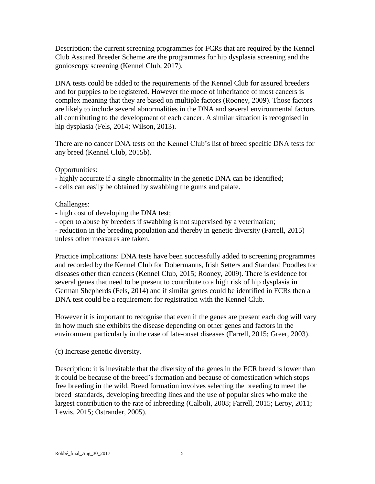Description: the current screening programmes for FCRs that are required by the Kennel Club Assured Breeder Scheme are the programmes for hip dysplasia screening and the gonioscopy screening (Kennel Club, 2017).

DNA tests could be added to the requirements of the Kennel Club for assured breeders and for puppies to be registered. However the mode of inheritance of most cancers is complex meaning that they are based on multiple factors (Rooney, 2009). Those factors are likely to include several abnormalities in the DNA and several environmental factors all contributing to the development of each cancer. A similar situation is recognised in hip dysplasia (Fels, 2014; Wilson, 2013).

There are no cancer DNA tests on the Kennel Club's list of breed specific DNA tests for any breed (Kennel Club, 2015b).

### Opportunities:

- highly accurate if a single abnormality in the genetic DNA can be identified;

- cells can easily be obtained by swabbing the gums and palate.

#### Challenges:

- high cost of developing the DNA test;

- open to abuse by breeders if swabbing is not supervised by a veterinarian;

- reduction in the breeding population and thereby in genetic diversity (Farrell, 2015) unless other measures are taken.

Practice implications: DNA tests have been successfully added to screening programmes and recorded by the Kennel Club for Dobermanns, Irish Setters and Standard Poodles for diseases other than cancers (Kennel Club, 2015; Rooney, 2009). There is evidence for several genes that need to be present to contribute to a high risk of hip dysplasia in German Shepherds (Fels, 2014) and if similar genes could be identified in FCRs then a DNA test could be a requirement for registration with the Kennel Club.

However it is important to recognise that even if the genes are present each dog will vary in how much she exhibits the disease depending on other genes and factors in the environment particularly in the case of late-onset diseases (Farrell, 2015; Greer, 2003).

(c) Increase genetic diversity.

Description: it is inevitable that the diversity of the genes in the FCR breed is lower than it could be because of the breed's formation and because of domestication which stops free breeding in the wild. Breed formation involves selecting the breeding to meet the breed standards, developing breeding lines and the use of popular sires who make the largest contribution to the rate of inbreeding (Calboli, 2008; Farrell, 2015; Leroy, 2011; Lewis, 2015; Ostrander, 2005).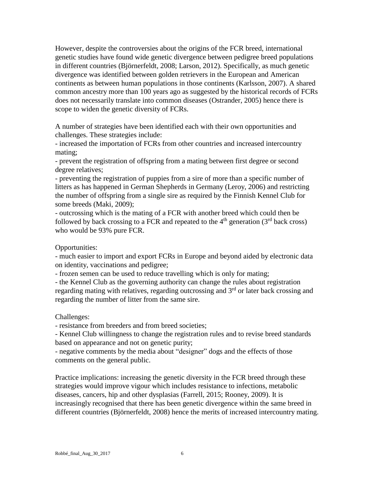However, despite the controversies about the origins of the FCR breed, international genetic studies have found wide genetic divergence between pedigree breed populations in different countries (Björnerfeldt, 2008; Larson, 2012). Specifically, as much genetic divergence was identified between golden retrievers in the European and American continents as between human populations in those continents (Karlsson, 2007). A shared common ancestry more than 100 years ago as suggested by the historical records of FCRs does not necessarily translate into common diseases (Ostrander, 2005) hence there is scope to widen the genetic diversity of FCRs.

A number of strategies have been identified each with their own opportunities and challenges. These strategies include:

- increased the importation of FCRs from other countries and increased intercountry mating;

- prevent the registration of offspring from a mating between first degree or second degree relatives;

- preventing the registration of puppies from a sire of more than a specific number of litters as has happened in German Shepherds in Germany (Leroy, 2006) and restricting the number of offspring from a single sire as required by the Finnish Kennel Club for some breeds (Maki, 2009);

- outcrossing which is the mating of a FCR with another breed which could then be followed by back crossing to a FCR and repeated to the  $4<sup>th</sup>$  generation (3<sup>rd</sup> back cross) who would be 93% pure FCR.

### Opportunities:

- much easier to import and export FCRs in Europe and beyond aided by electronic data on identity, vaccinations and pedigree;

- frozen semen can be used to reduce travelling which is only for mating;

- the Kennel Club as the governing authority can change the rules about registration regarding mating with relatives, regarding outcrossing and 3<sup>rd</sup> or later back crossing and regarding the number of litter from the same sire.

### Challenges:

- resistance from breeders and from breed societies;

- Kennel Club willingness to change the registration rules and to revise breed standards based on appearance and not on genetic purity;

- negative comments by the media about "designer" dogs and the effects of those comments on the general public.

Practice implications: increasing the genetic diversity in the FCR breed through these strategies would improve vigour which includes resistance to infections, metabolic diseases, cancers, hip and other dysplasias (Farrell, 2015; Rooney, 2009). It is increasingly recognised that there has been genetic divergence within the same breed in different countries (Björnerfeldt, 2008) hence the merits of increased intercountry mating.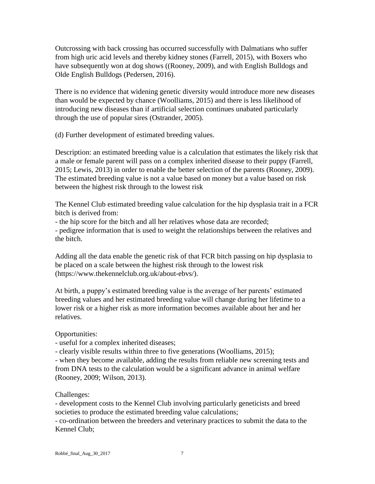Outcrossing with back crossing has occurred successfully with Dalmatians who suffer from high uric acid levels and thereby kidney stones (Farrell, 2015), with Boxers who have subsequently won at dog shows ((Rooney, 2009), and with English Bulldogs and Olde English Bulldogs (Pedersen, 2016).

There is no evidence that widening genetic diversity would introduce more new diseases than would be expected by chance (Woolliams, 2015) and there is less likelihood of introducing new diseases than if artificial selection continues unabated particularly through the use of popular sires (Ostrander, 2005).

(d) Further development of estimated breeding values.

Description: an estimated breeding value is a calculation that estimates the likely risk that a male or female parent will pass on a complex inherited disease to their puppy (Farrell, 2015; Lewis, 2013) in order to enable the better selection of the parents (Rooney, 2009). The estimated breeding value is not a value based on money but a value based on risk between the highest risk through to the lowest risk

The Kennel Club estimated breeding value calculation for the hip dysplasia trait in a FCR bitch is derived from:

- the hip score for the bitch and all her relatives whose data are recorded;

- pedigree information that is used to weight the relationships between the relatives and the bitch.

Adding all the data enable the genetic risk of that FCR bitch passing on hip dysplasia to be placed on a scale between the highest risk through to the lowest risk (https://www.thekennelclub.org.uk/about-ebvs/).

At birth, a puppy's estimated breeding value is the average of her parents' estimated breeding values and her estimated breeding value will change during her lifetime to a lower risk or a higher risk as more information becomes available about her and her relatives.

Opportunities:

- useful for a complex inherited diseases;

- clearly visible results within three to five generations (Woolliams, 2015);

- when they become available, adding the results from reliable new screening tests and from DNA tests to the calculation would be a significant advance in animal welfare (Rooney, 2009; Wilson, 2013).

### Challenges:

- development costs to the Kennel Club involving particularly geneticists and breed societies to produce the estimated breeding value calculations;

- co-ordination between the breeders and veterinary practices to submit the data to the Kennel Club;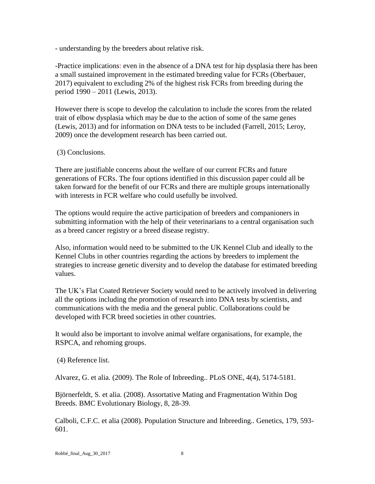- understanding by the breeders about relative risk.

-Practice implications: even in the absence of a DNA test for hip dysplasia there has been a small sustained improvement in the estimated breeding value for FCRs (Oberbauer, 2017) equivalent to excluding 2% of the highest risk FCRs from breeding during the period 1990 – 2011 (Lewis, 2013).

However there is scope to develop the calculation to include the scores from the related trait of elbow dysplasia which may be due to the action of some of the same genes (Lewis, 2013) and for information on DNA tests to be included (Farrell, 2015; Leroy, 2009) once the development research has been carried out.

## (3) Conclusions.

There are justifiable concerns about the welfare of our current FCRs and future generations of FCRs. The four options identified in this discussion paper could all be taken forward for the benefit of our FCRs and there are multiple groups internationally with interests in FCR welfare who could usefully be involved.

The options would require the active participation of breeders and companioners in submitting information with the help of their veterinarians to a central organisation such as a breed cancer registry or a breed disease registry.

Also, information would need to be submitted to the UK Kennel Club and ideally to the Kennel Clubs in other countries regarding the actions by breeders to implement the strategies to increase genetic diversity and to develop the database for estimated breeding values.

The UK's Flat Coated Retriever Society would need to be actively involved in delivering all the options including the promotion of research into DNA tests by scientists, and communications with the media and the general public. Collaborations could be developed with FCR breed societies in other countries.

It would also be important to involve animal welfare organisations, for example, the RSPCA, and rehoming groups.

(4) Reference list.

Alvarez, G. et alia. (2009). The Role of Inbreeding.. PLoS ONE, 4(4), 5174-5181.

Björnerfeldt, S. et alia. (2008). Assortative Mating and Fragmentation Within Dog Breeds. BMC Evolutionary Biology, 8, 28-39.

Calboli, C.F.C. et alia (2008). Population Structure and Inbreeding.. Genetics, 179, 593- 601.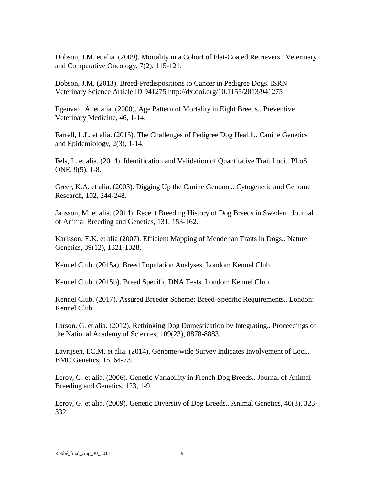Dobson, J.M. et alia. (2009). Mortality in a Cohort of Flat-Coated Retrievers.. Veterinary and Comparative Oncology, 7(2), 115-121.

Dobson, J.M. (2013). Breed-Predispositions to Cancer in Pedigree Dogs. ISRN Veterinary Science Article ID 941275 http://dx.doi.org/10.1155/2013/941275

Egenvall, A. et alia. (2000). Age Pattern of Mortality in Eight Breeds.. Preventive Veterinary Medicine, 46, 1-14.

Farrell, L.L. et alia. (2015). The Challenges of Pedigree Dog Health.. Canine Genetics and Epidemiology, 2(3), 1-14.

Fels, L. et alia. (2014). Identification and Validation of Quantitative Trait Loci.. PLoS ONE, 9(5), 1-8.

Greer, K.A. et alia. (2003). Digging Up the Canine Genome.. Cytogenetic and Genome Research, 102, 244-248.

Jansson, M. et alia. (2014). Recent Breeding History of Dog Breeds in Sweden.. Journal of Animal Breeding and Genetics, 131, 153-162.

Karlsson, E.K. et alia (2007). Efficient Mapping of Mendelian Traits in Dogs.. Nature Genetics, 39(12), 1321-1328.

Kennel Club. (2015a). Breed Population Analyses. London: Kennel Club.

Kennel Club. (2015b). Breed Specific DNA Tests. London: Kennel Club.

Kennel Club. (2017). Assured Breeder Scheme: Breed-Specific Requirements.. London: Kennel Club.

Larson, G. et alia. (2012). Rethinking Dog Domestication by Integrating.. Proceedings of the National Academy of Sciences, 109(23), 8878-8883.

Lavrijsen, I.C.M. et alia. (2014). Genome-wide Survey Indicates Involvement of Loci.. BMC Genetics, 15, 64-73.

Leroy, G. et alia. (2006). Genetic Variability in French Dog Breeds.. Journal of Animal Breeding and Genetics, 123, 1-9.

Leroy, G. et alia. (2009). Genetic Diversity of Dog Breeds.. Animal Genetics, 40(3), 323- 332.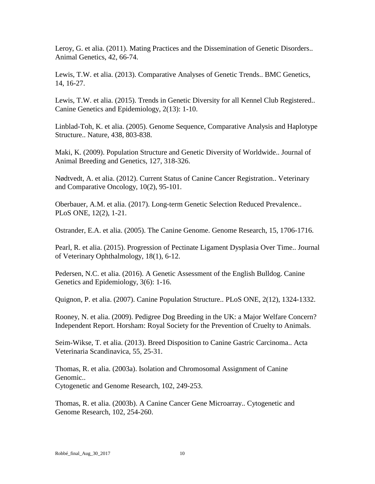Leroy, G. et alia. (2011). Mating Practices and the Dissemination of Genetic Disorders.. Animal Genetics, 42, 66-74.

Lewis, T.W. et alia. (2013). Comparative Analyses of Genetic Trends.. BMC Genetics, 14, 16-27.

Lewis, T.W. et alia. (2015). Trends in Genetic Diversity for all Kennel Club Registered.. Canine Genetics and Epidemiology, 2(13): 1-10.

Linblad-Toh, K. et alia. (2005). Genome Sequence, Comparative Analysis and Haplotype Structure.. Nature, 438, 803-838.

Maki, K. (2009). Population Structure and Genetic Diversity of Worldwide.. Journal of Animal Breeding and Genetics, 127, 318-326.

Nødtvedt, A. et alia. (2012). Current Status of Canine Cancer Registration.. Veterinary and Comparative Oncology, 10(2), 95-101.

Oberbauer, A.M. et alia. (2017). Long-term Genetic Selection Reduced Prevalence.. PLoS ONE, 12(2), 1-21.

Ostrander, E.A. et alia. (2005). The Canine Genome. Genome Research, 15, 1706-1716.

Pearl, R. et alia. (2015). Progression of Pectinate Ligament Dysplasia Over Time.. Journal of Veterinary Ophthalmology, 18(1), 6-12.

Pedersen, N.C. et alia. (2016). A Genetic Assessment of the English Bulldog. Canine Genetics and Epidemiology, 3(6): 1-16.

Quignon, P. et alia. (2007). Canine Population Structure.. PLoS ONE, 2(12), 1324-1332.

Rooney, N. et alia. (2009). Pedigree Dog Breeding in the UK: a Major Welfare Concern? Independent Report. Horsham: Royal Society for the Prevention of Cruelty to Animals.

Seim-Wikse, T. et alia. (2013). Breed Disposition to Canine Gastric Carcinoma.. Acta Veterinaria Scandinavica, 55, 25-31.

Thomas, R. et alia. (2003a). Isolation and Chromosomal Assignment of Canine Genomic.. Cytogenetic and Genome Research, 102, 249-253.

Thomas, R. et alia. (2003b). A Canine Cancer Gene Microarray.. Cytogenetic and Genome Research, 102, 254-260.